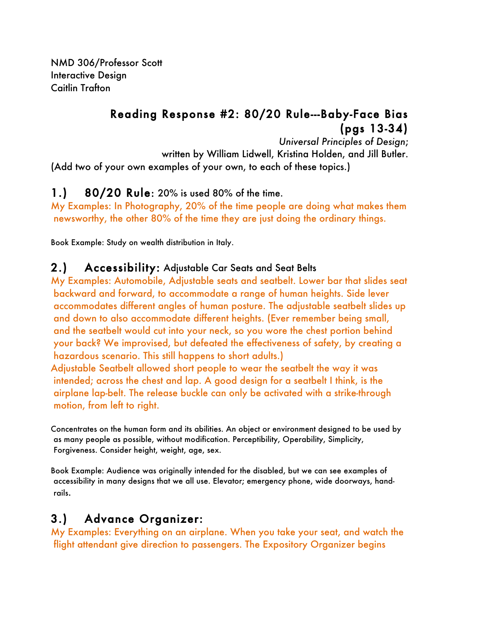NMD 306/Professor Scott Interactive Design Caitlin Trafton

# Reading Response #2: 80/20 Rule---Baby-Face Bias (pgs 13-34)

*Universal Principles of Design*; written by William Lidwell, Kristina Holden, and Jill Butler. (Add two of your own examples of your own, to each of these topics.)

# 1.) 80/20 Rule: 20% is used 80% of the time.

My Examples: In Photography, 20% of the time people are doing what makes them newsworthy, the other 80% of the time they are just doing the ordinary things.

Book Example: Study on wealth distribution in Italy.

## 2.) Accessibility: Adjustable Car Seats and Seat Belts

My Examples: Automobile, Adjustable seats and seatbelt. Lower bar that slides seat backward and forward, to accommodate a range of human heights. Side lever accommodates different angles of human posture. The adjustable seatbelt slides up and down to also accommodate different heights. (Ever remember being small, and the seatbelt would cut into your neck, so you wore the chest portion behind your back? We improvised, but defeated the effectiveness of safety, by creating a hazardous scenario. This still happens to short adults.)

Adjustable Seatbelt allowed short people to wear the seatbelt the way it was intended; across the chest and lap. A good design for a seatbelt I think, is the airplane lap-belt. The release buckle can only be activated with a strike-through motion, from left to right.

Concentrates on the human form and its abilities. An object or environment designed to be used by as many people as possible, without modification. Perceptibility, Operability, Simplicity, Forgiveness. Consider height, weight, age, sex.

Book Example: Audience was originally intended for the disabled, but we can see examples of accessibility in many designs that we all use. Elevator; emergency phone, wide doorways, handrails.

# 3.) Advance Organizer:

My Examples: Everything on an airplane. When you take your seat, and watch the flight attendant give direction to passengers. The Expository Organizer begins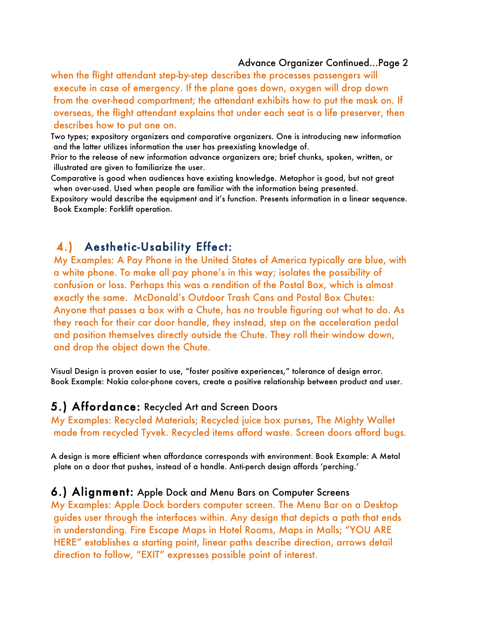#### Advance Organizer Continued…Page 2

when the flight attendant step-by-step describes the processes passengers will execute in case of emergency. If the plane goes down, oxygen will drop down from the over-head compartment; the attendant exhibits how to put the mask on. If overseas, the flight attendant explains that under each seat is a life preserver, then describes how to put one on.

Two types; expository organizers and comparative organizers. One is introducing new information and the latter utilizes information the user has preexisting knowledge of.

Prior to the release of new information advance organizers are; brief chunks, spoken, written, or illustrated are given to familiarize the user.

Comparative is good when audiences have existing knowledge. Metaphor is good, but not great when over-used. Used when people are familiar with the information being presented.

Expository would describe the equipment and it's function. Presents information in a linear sequence. Book Example: Forklift operation.

# 4.) Aesthetic-Usability Effect:

My Examples: A Pay Phone in the United States of America typically are blue, with a white phone. To make all pay phone's in this way; isolates the possibility of confusion or loss. Perhaps this was a rendition of the Postal Box, which is almost exactly the same. McDonald's Outdoor Trash Cans and Postal Box Chutes: Anyone that passes a box with a Chute, has no trouble figuring out what to do. As they reach for their car door handle, they instead, step on the acceleration pedal and position themselves directly outside the Chute. They roll their window down, and drop the object down the Chute.

Visual Design is proven easier to use, "foster positive experiences," tolerance of design error. Book Example: Nokia color-phone covers, create a positive relationship between product and user.

#### 5.) Affordance: Recycled Art and Screen Doors

My Examples: Recycled Materials; Recycled juice box purses, The Mighty Wallet made from recycled Tyvek. Recycled items afford waste. Screen doors afford bugs.

A design is more efficient when affordance corresponds with environment. Book Example: A Metal plate on a door that pushes, instead of a handle. Anti-perch design affords 'perching.'

### 6.) Alignment: Apple Dock and Menu Bars on Computer Screens

My Examples: Apple Dock borders computer screen. The Menu Bar on a Desktop guides user through the interfaces within. Any design that depicts a path that ends in understanding. Fire Escape Maps in Hotel Rooms, Maps in Malls; "YOU ARE HERE" establishes a starting point, linear paths describe direction, arrows detail direction to follow, "EXIT" expresses possible point of interest.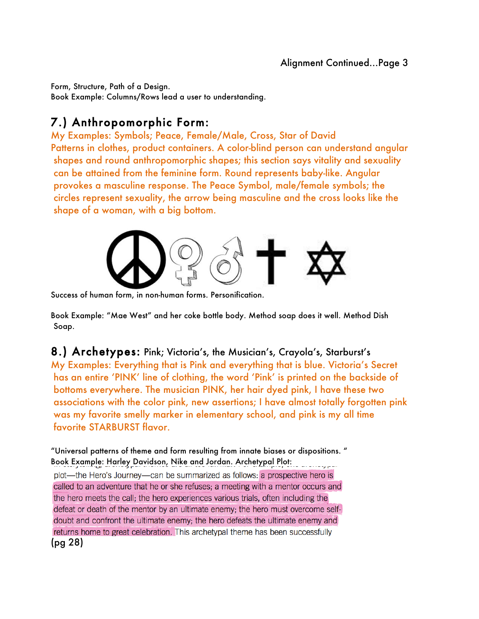Form, Structure, Path of a Design. Book Example: Columns/Rows lead a user to understanding.

# 7.) Anthropomorphic Form:

My Examples: Symbols; Peace, Female/Male, Cross, Star of David Patterns in clothes, product containers. A color-blind person can understand angular shapes and round anthropomorphic shapes; this section says vitality and sexuality can be attained from the feminine form. Round represents baby-like. Angular provokes a masculine response. The Peace Symbol, male/female symbols; the circles represent sexuality, the arrow being masculine and the cross looks like the shape of a woman, with a big bottom.



Success of human form, in non-human forms. Personification.

Book Example: "Mae West" and her coke bottle body. Method soap does it well. Method Dish Soap.

8.) Archetypes: Pink; Victoria's, the Musician's, Crayola's, Starburst's My Examples: Everything that is Pink and everything that is blue. Victoria's Secret has an entire 'PINK' line of clothing, the word 'Pink' is printed on the backside of bottoms everywhere. The musician PINK, her hair dyed pink, I have these two associations with the color pink, new assertions; I have almost totally forgotten pink was my favorite smelly marker in elementary school, and pink is my all time favorite STARBURST flavor.

"Universal patterns of theme and form resulting from innate biases or dispositions. " Book Example: Harley Davidson, Nike and Jordan. Archetypal Plot: plot—the Hero's Journey—can be summarized as follows: a prospective hero is called to an adventure that he or she refuses; a meeting with a mentor occurs and the hero meets the call; the hero experiences various trials, often including the defeat or death of the mentor by an ultimate enemy; the hero must overcome selfdoubt and confront the ultimate enemy; the hero defeats the ultimate enemy and returns home to great celebration. This archetypal theme has been successfully (pg 28)